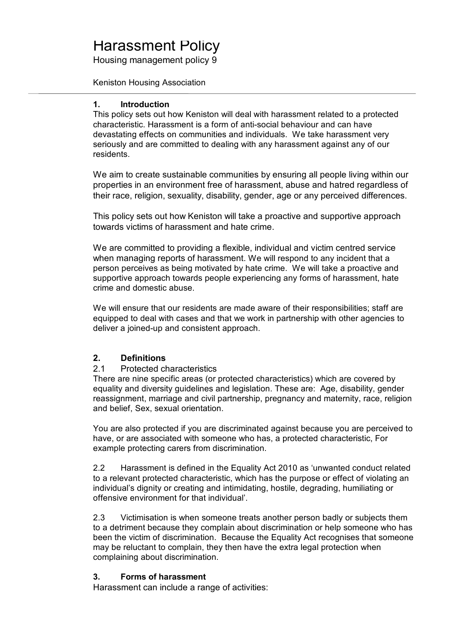# Harassment Policy

Housing management policy 9

Keniston Housing Association

## **1. Introduction**

This policy sets out how Keniston will deal with harassment related to a protected characteristic. Harassment is a form of anti-social behaviour and can have devastating effects on communities and individuals. We take harassment very seriously and are committed to dealing with any harassment against any of our residents.

We aim to create sustainable communities by ensuring all people living within our properties in an environment free of harassment, abuse and hatred regardless of their race, religion, sexuality, disability, gender, age or any perceived differences.

This policy sets out how Keniston will take a proactive and supportive approach towards victims of harassment and hate crime.

We are committed to providing a flexible, individual and victim centred service when managing reports of harassment. We will respond to any incident that a person perceives as being motivated by hate crime. We will take a proactive and supportive approach towards people experiencing any forms of harassment, hate crime and domestic abuse.

We will ensure that our residents are made aware of their responsibilities; staff are equipped to deal with cases and that we work in partnership with other agencies to deliver a joined-up and consistent approach.

# **2. Definitions**

# 2.1 Protected characteristics

There are nine specific areas (or protected characteristics) which are covered by equality and diversity guidelines and legislation. These are: Age, disability, gender reassignment, marriage and civil partnership, pregnancy and maternity, race, religion and belief, Sex, sexual orientation.

You are also protected if you are discriminated against because you are perceived to have, or are associated with someone who has, a protected characteristic, For example protecting carers from discrimination.

2.2 Harassment is defined in the Equality Act 2010 as 'unwanted conduct related to a relevant protected characteristic, which has the purpose or effect of violating an individual's dignity or creating and intimidating, hostile, degrading, humiliating or offensive environment for that individual'.

2.3 Victimisation is when someone treats another person badly or subjects them to a detriment because they complain about discrimination or help someone who has been the victim of discrimination. Because the Equality Act recognises that someone may be reluctant to complain, they then have the extra legal protection when complaining about discrimination.

# **3. Forms of harassment**

Harassment can include a range of activities: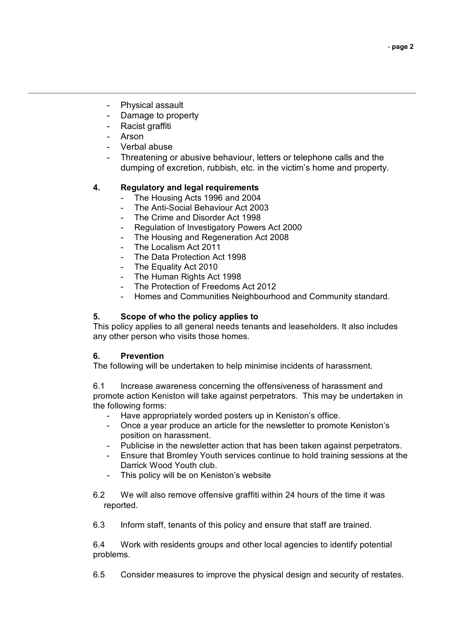- Physical assault
- Damage to property
- Racist graffiti
- **Arson**
- Verbal abuse
- Threatening or abusive behaviour, letters or telephone calls and the dumping of excretion, rubbish, etc. in the victim's home and property.

## **4. Regulatory and legal requirements**

- The Housing Acts 1996 and 2004
- The Anti-Social Behaviour Act 2003
- The Crime and Disorder Act 1998
- Regulation of Investigatory Powers Act 2000
- The Housing and Regeneration Act 2008
- The Localism Act 2011
- The Data Protection Act 1998
- The Equality Act 2010
- The Human Rights Act 1998
- The Protection of Freedoms Act 2012
- Homes and Communities Neighbourhood and Community standard.

#### **5. Scope of who the policy applies to**

This policy applies to all general needs tenants and leaseholders. It also includes any other person who visits those homes.

#### **6. Prevention**

The following will be undertaken to help minimise incidents of harassment.

6.1 Increase awareness concerning the offensiveness of harassment and promote action Keniston will take against perpetrators. This may be undertaken in the following forms:

- Have appropriately worded posters up in Keniston's office.
- Once a year produce an article for the newsletter to promote Keniston's position on harassment.
- Publicise in the newsletter action that has been taken against perpetrators.
- Ensure that Bromley Youth services continue to hold training sessions at the Darrick Wood Youth club.
- This policy will be on Keniston's website
- 6.2 We will also remove offensive graffiti within 24 hours of the time it was reported.
- 6.3 Inform staff, tenants of this policy and ensure that staff are trained.

6.4 Work with residents groups and other local agencies to identify potential problems.

6.5 Consider measures to improve the physical design and security of restates.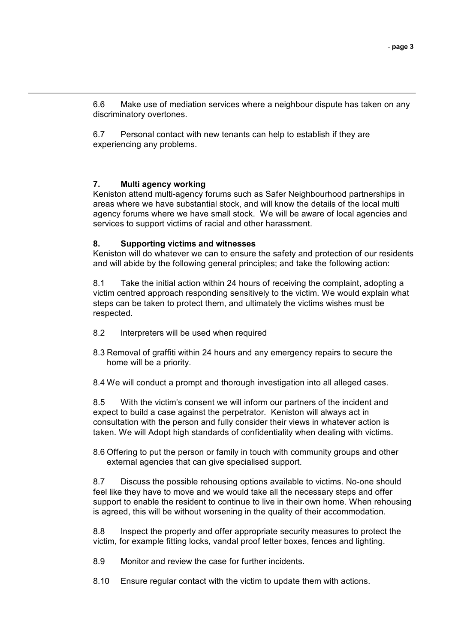6.6 Make use of mediation services where a neighbour dispute has taken on any discriminatory overtones.

6.7 Personal contact with new tenants can help to establish if they are experiencing any problems.

#### **7. Multi agency working**

Keniston attend multi-agency forums such as Safer Neighbourhood partnerships in areas where we have substantial stock, and will know the details of the local multi agency forums where we have small stock. We will be aware of local agencies and services to support victims of racial and other harassment.

#### **8. Supporting victims and witnesses**

Keniston will do whatever we can to ensure the safety and protection of our residents and will abide by the following general principles; and take the following action:

8.1 Take the initial action within 24 hours of receiving the complaint, adopting a victim centred approach responding sensitively to the victim. We would explain what steps can be taken to protect them, and ultimately the victims wishes must be respected.

- 8.2 Interpreters will be used when required
- 8.3 Removal of graffiti within 24 hours and any emergency repairs to secure the home will be a priority.
- 8.4 We will conduct a prompt and thorough investigation into all alleged cases.

8.5 With the victim's consent we will inform our partners of the incident and expect to build a case against the perpetrator. Keniston will always act in consultation with the person and fully consider their views in whatever action is taken. We will Adopt high standards of confidentiality when dealing with victims.

8.6 Offering to put the person or family in touch with community groups and other external agencies that can give specialised support.

8.7 Discuss the possible rehousing options available to victims. No-one should feel like they have to move and we would take all the necessary steps and offer support to enable the resident to continue to live in their own home. When rehousing is agreed, this will be without worsening in the quality of their accommodation.

8.8 Inspect the property and offer appropriate security measures to protect the victim, for example fitting locks, vandal proof letter boxes, fences and lighting.

8.9 Monitor and review the case for further incidents.

8.10 Ensure regular contact with the victim to update them with actions.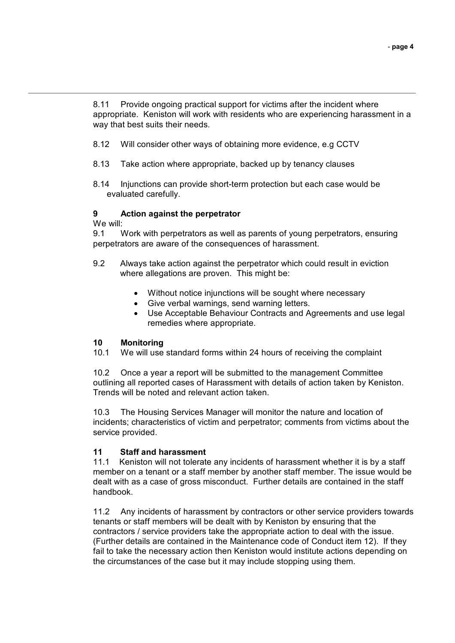8.11 Provide ongoing practical support for victims after the incident where appropriate. Keniston will work with residents who are experiencing harassment in a way that best suits their needs.

- 8.12 Will consider other ways of obtaining more evidence, e.g CCTV
- 8.13 Take action where appropriate, backed up by tenancy clauses
- 8.14 Injunctions can provide short-term protection but each case would be evaluated carefully.

## **9 Action against the perpetrator**

We will:

9.1 Work with perpetrators as well as parents of young perpetrators, ensuring perpetrators are aware of the consequences of harassment.

- 9.2 Always take action against the perpetrator which could result in eviction where allegations are proven. This might be:
	- Without notice injunctions will be sought where necessary
	- Give verbal warnings, send warning letters.
	- Use Acceptable Behaviour Contracts and Agreements and use legal remedies where appropriate.

#### **10 Monitoring**

10.1 We will use standard forms within 24 hours of receiving the complaint

10.2 Once a year a report will be submitted to the management Committee outlining all reported cases of Harassment with details of action taken by Keniston. Trends will be noted and relevant action taken.

10.3 The Housing Services Manager will monitor the nature and location of incidents; characteristics of victim and perpetrator; comments from victims about the service provided.

# **11 Staff and harassment**

11.1 Keniston will not tolerate any incidents of harassment whether it is by a staff member on a tenant or a staff member by another staff member. The issue would be dealt with as a case of gross misconduct. Further details are contained in the staff handbook.

11.2 Any incidents of harassment by contractors or other service providers towards tenants or staff members will be dealt with by Keniston by ensuring that the contractors / service providers take the appropriate action to deal with the issue. (Further details are contained in the Maintenance code of Conduct item 12). If they fail to take the necessary action then Keniston would institute actions depending on the circumstances of the case but it may include stopping using them.